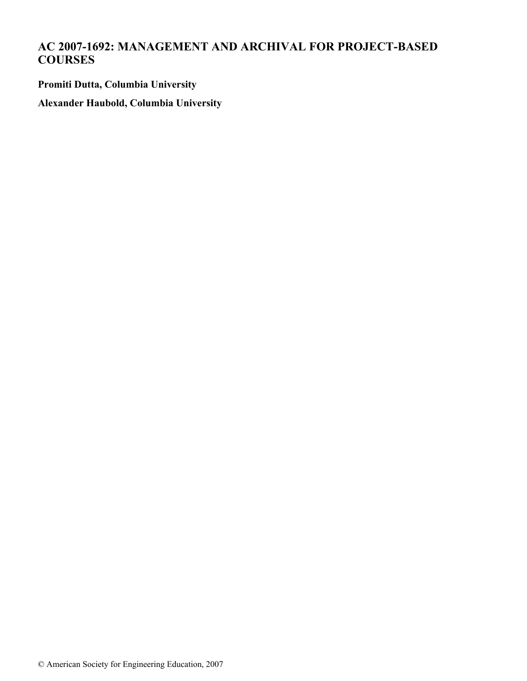# **AC 2007-1692: MANAGEMENT AND ARCHIVAL FOR PROJECT-BASED COURSES**

**Promiti Dutta, Columbia University**

**Alexander Haubold, Columbia University**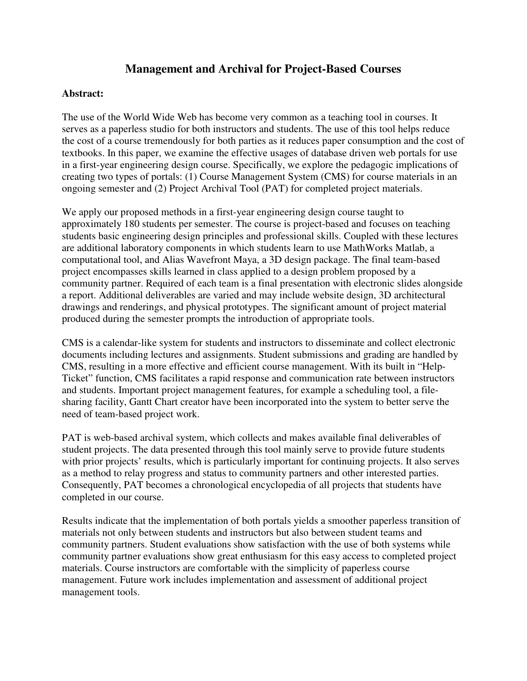## **Management and Archival for Project-Based Courses**

#### **Abstract:**

The use of the World Wide Web has become very common as a teaching tool in courses. It serves as a paperless studio for both instructors and students. The use of this tool helps reduce the cost of a course tremendously for both parties as it reduces paper consumption and the cost of textbooks. In this paper, we examine the effective usages of database driven web portals for use in a first-year engineering design course. Specifically, we explore the pedagogic implications of creating two types of portals: (1) Course Management System (CMS) for course materials in an ongoing semester and (2) Project Archival Tool (PAT) for completed project materials.

We apply our proposed methods in a first-year engineering design course taught to approximately 180 students per semester. The course is project-based and focuses on teaching students basic engineering design principles and professional skills. Coupled with these lectures are additional laboratory components in which students learn to use MathWorks Matlab, a computational tool, and Alias Wavefront Maya, a 3D design package. The final team-based project encompasses skills learned in class applied to a design problem proposed by a community partner. Required of each team is a final presentation with electronic slides alongside a report. Additional deliverables are varied and may include website design, 3D architectural drawings and renderings, and physical prototypes. The significant amount of project material produced during the semester prompts the introduction of appropriate tools.

CMS is a calendar-like system for students and instructors to disseminate and collect electronic documents including lectures and assignments. Student submissions and grading are handled by CMS, resulting in a more effective and efficient course management. With its built in "Help-Ticket" function, CMS facilitates a rapid response and communication rate between instructors and students. Important project management features, for example a scheduling tool, a filesharing facility, Gantt Chart creator have been incorporated into the system to better serve the need of team-based project work.

PAT is web-based archival system, which collects and makes available final deliverables of student projects. The data presented through this tool mainly serve to provide future students with prior projects' results, which is particularly important for continuing projects. It also serves as a method to relay progress and status to community partners and other interested parties. Consequently, PAT becomes a chronological encyclopedia of all projects that students have completed in our course.

Results indicate that the implementation of both portals yields a smoother paperless transition of materials not only between students and instructors but also between student teams and community partners. Student evaluations show satisfaction with the use of both systems while community partner evaluations show great enthusiasm for this easy access to completed project materials. Course instructors are comfortable with the simplicity of paperless course management. Future work includes implementation and assessment of additional project management tools.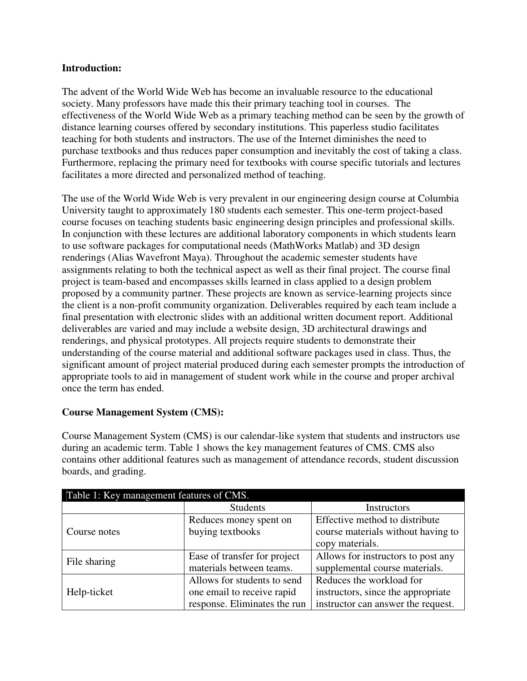#### **Introduction:**

The advent of the World Wide Web has become an invaluable resource to the educational society. Many professors have made this their primary teaching tool in courses. The effectiveness of the World Wide Web as a primary teaching method can be seen by the growth of distance learning courses offered by secondary institutions. This paperless studio facilitates teaching for both students and instructors. The use of the Internet diminishes the need to purchase textbooks and thus reduces paper consumption and inevitably the cost of taking a class. Furthermore, replacing the primary need for textbooks with course specific tutorials and lectures facilitates a more directed and personalized method of teaching.

The use of the World Wide Web is very prevalent in our engineering design course at Columbia University taught to approximately 180 students each semester. This one-term project-based course focuses on teaching students basic engineering design principles and professional skills. In conjunction with these lectures are additional laboratory components in which students learn to use software packages for computational needs (MathWorks Matlab) and 3D design renderings (Alias Wavefront Maya). Throughout the academic semester students have assignments relating to both the technical aspect as well as their final project. The course final project is team-based and encompasses skills learned in class applied to a design problem proposed by a community partner. These projects are known as service-learning projects since the client is a non-profit community organization. Deliverables required by each team include a final presentation with electronic slides with an additional written document report. Additional deliverables are varied and may include a website design, 3D architectural drawings and renderings, and physical prototypes. All projects require students to demonstrate their understanding of the course material and additional software packages used in class. Thus, the significant amount of project material produced during each semester prompts the introduction of appropriate tools to aid in management of student work while in the course and proper archival once the term has ended.

## **Course Management System (CMS):**

Course Management System (CMS) is our calendar-like system that students and instructors use during an academic term. Table 1 shows the key management features of CMS. CMS also contains other additional features such as management of attendance records, student discussion boards, and grading.

| Table 1: Key management features of CMS. |                              |                                    |
|------------------------------------------|------------------------------|------------------------------------|
|                                          | <b>Students</b>              | Instructors                        |
|                                          | Reduces money spent on       | Effective method to distribute     |
| Course notes                             | buying textbooks             | course materials without having to |
|                                          |                              | copy materials.                    |
| File sharing                             | Ease of transfer for project | Allows for instructors to post any |
|                                          | materials between teams.     | supplemental course materials.     |
|                                          | Allows for students to send  | Reduces the workload for           |
| Help-ticket                              | one email to receive rapid   | instructors, since the appropriate |
|                                          | response. Eliminates the run | instructor can answer the request. |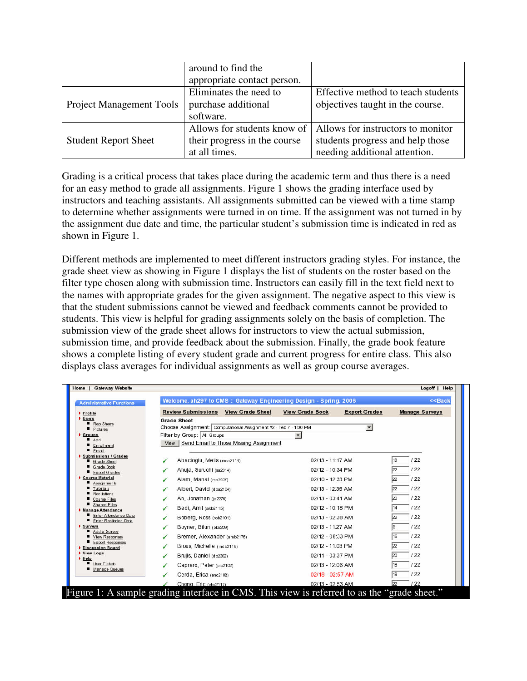|                                 | around to find the           |                                    |
|---------------------------------|------------------------------|------------------------------------|
|                                 | appropriate contact person.  |                                    |
|                                 | Eliminates the need to       | Effective method to teach students |
| <b>Project Management Tools</b> | purchase additional          | objectives taught in the course.   |
|                                 | software.                    |                                    |
|                                 | Allows for students know of  | Allows for instructors to monitor  |
| <b>Student Report Sheet</b>     | their progress in the course | students progress and help those   |
|                                 | at all times.                | needing additional attention.      |

Grading is a critical process that takes place during the academic term and thus there is a need for an easy method to grade all assignments. Figure 1 shows the grading interface used by instructors and teaching assistants. All assignments submitted can be viewed with a time stamp to determine whether assignments were turned in on time. If the assignment was not turned in by the assignment due date and time, the particular student's submission time is indicated in red as shown in Figure 1.

Different methods are implemented to meet different instructors grading styles. For instance, the grade sheet view as showing in Figure 1 displays the list of students on the roster based on the filter type chosen along with submission time. Instructors can easily fill in the text field next to the names with appropriate grades for the given assignment. The negative aspect to this view is that the student submissions cannot be viewed and feedback comments cannot be provided to students. This view is helpful for grading assignments solely on the basis of completion. The submission view of the grade sheet allows for instructors to view the actual submission, submission time, and provide feedback about the submission. Finally, the grade book feature shows a complete listing of every student grade and current progress for entire class. This also displays class averages for individual assignments as well as group course averages.

| <b>Administrative Functions</b>                | Welcome, ah297 to CMS :: Gateway Engineering Design - Spring, 2006 |                                                | < <back< th=""></back<> |
|------------------------------------------------|--------------------------------------------------------------------|------------------------------------------------|-------------------------|
| Profile<br>Disers                              | Review Submissions View Grade Sheet                                | <b>Export Grades</b><br><b>View Grade Book</b> | <b>Manage Surveys</b>   |
| Rep Sheets                                     | <b>Grade Sheet</b>                                                 |                                                |                         |
| Pictures                                       | Choose Assignment: Computational Assignment #2 - Feb 7 - 1:00 PM   | $\blacktriangledown$                           |                         |
| $\triangleright$ Groups<br>Add                 | Filter by Group: All Groups                                        |                                                |                         |
| Enrollment                                     | View Send Email to Those Missing Assignment                        |                                                |                         |
| Email<br>Submissions / Grades                  |                                                                    |                                                |                         |
| Grade Sheet                                    | Abacioglu, Melis (mca2114)                                         | 02/13 - 11:17 AM                               | 122                     |
| Grade Book<br><b>Export Grades</b>             | Ahuja, Suruchi (sa2314)                                            | 02/12 - 10:34 PM                               | 122                     |
| Course Material                                | Alam, Manal (ma2407)                                               | 02/10 - 12:33 PM                               | 122                     |
| Assignments<br>Tutorials                       | Albert, David (dba2104)<br>$\checkmark$                            | 02/13 - 12:35 AM                               | 122                     |
| Recitations                                    |                                                                    |                                                |                         |
| <b>Course Files</b><br>Shared Files            | An, Jonathan (ja2276)<br>✓                                         | $02/13 - 03:41$ AM                             | 122                     |
| Manage Attendance                              | Bedi, Amit (akb2115)                                               | 02/12 - 10:18 PM                               | 122                     |
| Enter Attendance Data<br>Enter Recitation Data | Boberg, Ross (rob2101)<br>✓                                        | 02/13 - 02:38 AM                               | 122                     |
| Surveys                                        | Boyner, Bilun (bb2209)                                             | 02/13 - 11:27 AM                               | 122                     |
| Add a Survey<br>View Responses                 | Bremer, Alexander (amb2176)                                        | 02/12 - 08:33 PM                               | 122                     |
| Export Responses<br>Discussion Board           | Brous, Michelle (mdb2119)<br>✓                                     | 02/12 - 11:03 PM                               | 122<br>22               |
| View Logs<br>Help                              | Brujis, Daniel (db2302)                                            | 02/11 - 03:37 PM                               | 122                     |
| User Tickets<br>Manage Queues                  | Capraro, Peter (pic2102)                                           | 02/13 - 12:06 AM                               | 122                     |
|                                                | Cerda, Erica (enc2108)                                             | 02/18 - 02:57 AM                               | 122                     |
|                                                | Chong, Eric (ehc2117)                                              | 02/13 - 02:53 AM                               | 122                     |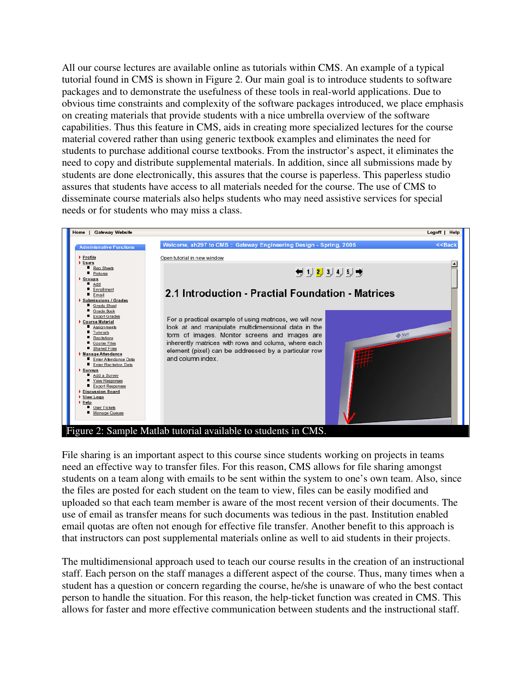All our course lectures are available online as tutorials within CMS. An example of a typical tutorial found in CMS is shown in Figure 2. Our main goal is to introduce students to software packages and to demonstrate the usefulness of these tools in real-world applications. Due to obvious time constraints and complexity of the software packages introduced, we place emphasis on creating materials that provide students with a nice umbrella overview of the software capabilities. Thus this feature in CMS, aids in creating more specialized lectures for the course material covered rather than using generic textbook examples and eliminates the need for students to purchase additional course textbooks. From the instructor's aspect, it eliminates the need to copy and distribute supplemental materials. In addition, since all submissions made by students are done electronically, this assures that the course is paperless. This paperless studio assures that students have access to all materials needed for the course. The use of CMS to disseminate course materials also helps students who may need assistive services for special needs or for students who may miss a class.



File sharing is an important aspect to this course since students working on projects in teams need an effective way to transfer files. For this reason, CMS allows for file sharing amongst students on a team along with emails to be sent within the system to one's own team. Also, since the files are posted for each student on the team to view, files can be easily modified and uploaded so that each team member is aware of the most recent version of their documents. The use of email as transfer means for such documents was tedious in the past. Institution enabled email quotas are often not enough for effective file transfer. Another benefit to this approach is that instructors can post supplemental materials online as well to aid students in their projects.

The multidimensional approach used to teach our course results in the creation of an instructional staff. Each person on the staff manages a different aspect of the course. Thus, many times when a student has a question or concern regarding the course, he/she is unaware of who the best contact person to handle the situation. For this reason, the help-ticket function was created in CMS. This allows for faster and more effective communication between students and the instructional staff.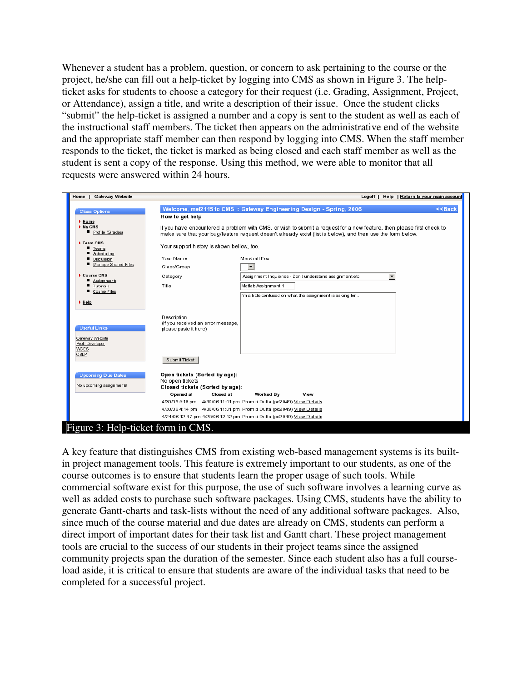Whenever a student has a problem, question, or concern to ask pertaining to the course or the project, he/she can fill out a help-ticket by logging into CMS as shown in Figure 3. The helpticket asks for students to choose a category for their request (i.e. Grading, Assignment, Project, or Attendance), assign a title, and write a description of their issue. Once the student clicks "submit" the help-ticket is assigned a number and a copy is sent to the student as well as each of the instructional staff members. The ticket then appears on the administrative end of the website and the appropriate staff member can then respond by logging into CMS. When the staff member responds to the ticket, the ticket is marked as being closed and each staff member as well as the student is sent a copy of the response. Using this method, we were able to monitor that all requests were answered within 24 hours.

| Home   Gateway Website                                |                                                                                     |                                                                                                                                                                                                                                      | Logoff   Help   Return to your main account |
|-------------------------------------------------------|-------------------------------------------------------------------------------------|--------------------------------------------------------------------------------------------------------------------------------------------------------------------------------------------------------------------------------------|---------------------------------------------|
| <b>Class Options</b><br>Home                          | How to get help                                                                     | Welcome, mef2115 to CMS :: Gateway Engineering Design - Spring, 2006                                                                                                                                                                 | $<<$ Back                                   |
| My CMS<br>Profile (Grades)                            |                                                                                     | If you have encountered a problem with CMS, or wish to submit a request for a new feature, then please first check to<br>make sure that your bug/feature request doesn't already exist (list is below), and then use the form below. |                                             |
| Team CMS<br>Teams<br>Scheduling                       | Your support history is shown bellow, too.                                          |                                                                                                                                                                                                                                      |                                             |
| Discussion<br>Manage Shared Files                     | Your Name<br>Class/Group                                                            | Marshall Fox<br>$\overline{\phantom{a}}$                                                                                                                                                                                             |                                             |
| Course CMS<br>Assignments                             | Category                                                                            | Assignment Inquieries - Don't understand assignment etc<br>$\overline{\phantom{a}}$                                                                                                                                                  |                                             |
| Tutorials<br>Course Files                             | Title                                                                               | Matlab Assignment 1<br>I'm a little confused on what the assignment is asking for                                                                                                                                                    |                                             |
| $H$ elp                                               |                                                                                     |                                                                                                                                                                                                                                      |                                             |
| <b>Useful Links</b>                                   | Description<br>(If you received an error message,<br>please paste it here)          |                                                                                                                                                                                                                                      |                                             |
| Gateway Website<br>Prof. Developer                    |                                                                                     |                                                                                                                                                                                                                                      |                                             |
| WCES<br>CSLP                                          | Submit Ticket                                                                       |                                                                                                                                                                                                                                      |                                             |
| <b>Upcoming Due Dates</b><br>No upcoming assignments! | Open tickets (Sorted by age):<br>No open tickets<br>Closed tickets (Sorted by age): |                                                                                                                                                                                                                                      |                                             |
|                                                       | Closed at<br>Opened at                                                              | Worked By<br>View<br>4/30/06 5:18 pm 4/30/06 11:01 pm Promiti Dutta (pd2049) View Details                                                                                                                                            |                                             |
|                                                       |                                                                                     | 4/30/06 4:14 pm 4/30/06 11:01 pm Promiti Dutta (pd2049) View Details<br>4/24/06 12:47 pm 4/25/06 12:12 pm Promiti Dutta (pd2049) View Details                                                                                        |                                             |
| Figure 3: Help-ticket form in CMS.                    |                                                                                     |                                                                                                                                                                                                                                      |                                             |

A key feature that distinguishes CMS from existing web-based management systems is its builtin project management tools. This feature is extremely important to our students, as one of the course outcomes is to ensure that students learn the proper usage of such tools. While commercial software exist for this purpose, the use of such software involves a learning curve as well as added costs to purchase such software packages. Using CMS, students have the ability to generate Gantt-charts and task-lists without the need of any additional software packages. Also, since much of the course material and due dates are already on CMS, students can perform a direct import of important dates for their task list and Gantt chart. These project management tools are crucial to the success of our students in their project teams since the assigned community projects span the duration of the semester. Since each student also has a full courseload aside, it is critical to ensure that students are aware of the individual tasks that need to be completed for a successful project.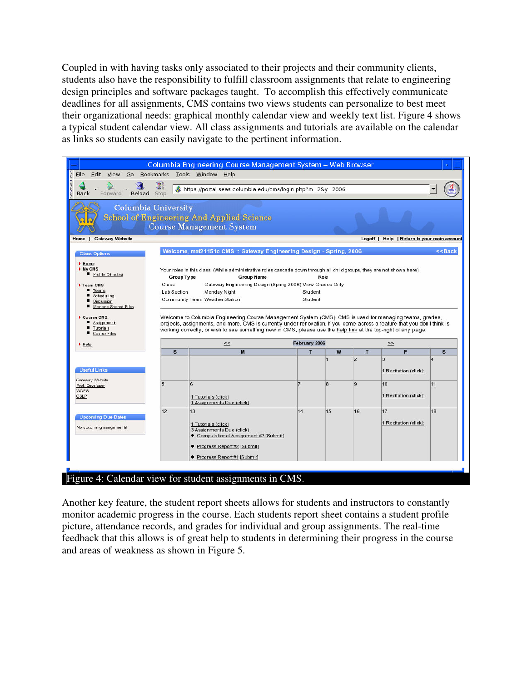Coupled in with having tasks only associated to their projects and their community clients, students also have the responsibility to fulfill classroom assignments that relate to engineering design principles and software packages taught. To accomplish this effectively communicate deadlines for all assignments, CMS contains two views students can personalize to best meet their organizational needs: graphical monthly calendar view and weekly text list. Figure 4 shows a typical student calendar view. All class assignments and tutorials are available on the calendar as links so students can easily navigate to the pertinent information.

| Stop  | Go Bookmarks Tools Window Help<br>https://portal.seas.columbia.edu/cms/login.php?m=2&y=2006                                     |                                                                                                                                                                                                       |    |                                                                                                          |                                                                      |                                                                                                                                                                                                                                                                                                                                                                                                                                                                                                                               |
|-------|---------------------------------------------------------------------------------------------------------------------------------|-------------------------------------------------------------------------------------------------------------------------------------------------------------------------------------------------------|----|----------------------------------------------------------------------------------------------------------|----------------------------------------------------------------------|-------------------------------------------------------------------------------------------------------------------------------------------------------------------------------------------------------------------------------------------------------------------------------------------------------------------------------------------------------------------------------------------------------------------------------------------------------------------------------------------------------------------------------|
|       |                                                                                                                                 |                                                                                                                                                                                                       |    |                                                                                                          |                                                                      |                                                                                                                                                                                                                                                                                                                                                                                                                                                                                                                               |
|       |                                                                                                                                 |                                                                                                                                                                                                       |    |                                                                                                          |                                                                      |                                                                                                                                                                                                                                                                                                                                                                                                                                                                                                                               |
|       |                                                                                                                                 |                                                                                                                                                                                                       |    |                                                                                                          |                                                                      |                                                                                                                                                                                                                                                                                                                                                                                                                                                                                                                               |
|       |                                                                                                                                 |                                                                                                                                                                                                       |    |                                                                                                          |                                                                      | < <back< td=""></back<>                                                                                                                                                                                                                                                                                                                                                                                                                                                                                                       |
| Class | Monday Night                                                                                                                    |                                                                                                                                                                                                       |    |                                                                                                          |                                                                      |                                                                                                                                                                                                                                                                                                                                                                                                                                                                                                                               |
|       | <<                                                                                                                              |                                                                                                                                                                                                       |    |                                                                                                          | $\geq$                                                               |                                                                                                                                                                                                                                                                                                                                                                                                                                                                                                                               |
| s     | M                                                                                                                               | T                                                                                                                                                                                                     | W  | T                                                                                                        | F                                                                    | $\mathbf{s}$                                                                                                                                                                                                                                                                                                                                                                                                                                                                                                                  |
|       |                                                                                                                                 |                                                                                                                                                                                                       |    | 2                                                                                                        | 3<br>1 Recitation (click):                                           |                                                                                                                                                                                                                                                                                                                                                                                                                                                                                                                               |
| 5     | 6<br>1 Tutorials (click)<br>1 Assignments Due (click)                                                                           |                                                                                                                                                                                                       | 8  | 9                                                                                                        | 10<br>1 Recitation (click):                                          | 11                                                                                                                                                                                                                                                                                                                                                                                                                                                                                                                            |
| 12    | 13<br>1 Tutorials (click)<br>3 Assignments Due (click)<br>Computational Assignment #2 [Submit]<br>● Progress Report #2 [Submit] | 14                                                                                                                                                                                                    | 15 | 16                                                                                                       | 17<br>1 Recitation (click):                                          | 18                                                                                                                                                                                                                                                                                                                                                                                                                                                                                                                            |
|       |                                                                                                                                 | Columbia University<br><b>School of Engineering And Applied Science</b><br><b>Course Management System</b><br><b>Group Type</b><br><b>Group Name</b><br>Lab Section<br>Community Team Weather Station |    | Role<br>Gateway Engineering Design (Spring 2006) View Grades Only<br>Student<br>Student<br>February 2006 | Welcome, mef2115 to CMS :: Gateway Engineering Design - Spring, 2006 | Logoff   Help   Return to your main account<br>Your roles in this class: (While administrative roles cascade down through all child groups, they are not shown here)<br>Welcome to Columbia Engineering Course Management System (CMS). CMS is used for managing teams, grades,<br>projects, assignments, and more. CMS is currently under renovation. If you come across a feature that you don't think is<br>working correctly, or wish to see something new in CMS, please use the help link at the top-right of any page. |

Another key feature, the student report sheets allows for students and instructors to constantly monitor academic progress in the course. Each students report sheet contains a student profile picture, attendance records, and grades for individual and group assignments. The real-time feedback that this allows is of great help to students in determining their progress in the course and areas of weakness as shown in Figure 5.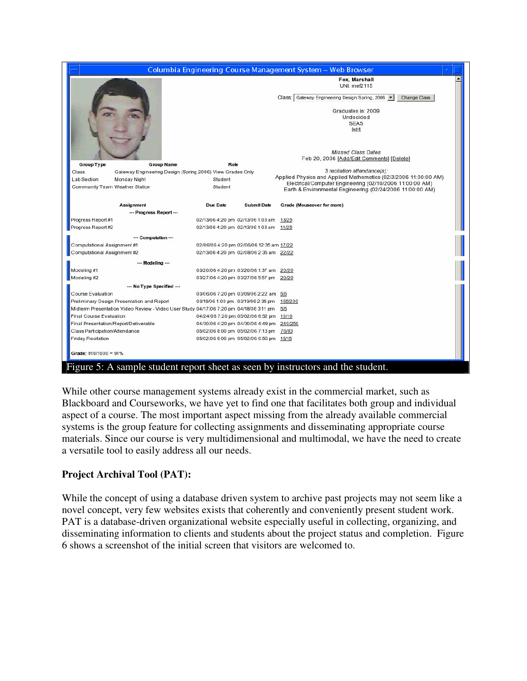|                                                                                        |                                          |                    | Columbia Engineering Course Management System - Web Browser |                                                                                                                                                                                                                                      |  |
|----------------------------------------------------------------------------------------|------------------------------------------|--------------------|-------------------------------------------------------------|--------------------------------------------------------------------------------------------------------------------------------------------------------------------------------------------------------------------------------------|--|
|                                                                                        |                                          |                    | Class:                                                      | Fox, Marshall<br>UNI: mef2115<br>Gateway Engineering Design Spring, 2006<br>Change Class<br>Graduates in: 2009<br>Undecided<br><b>SEAS</b><br><b>fedif</b><br><b>Missed Class Dates</b><br>Feb 20, 2006 [Add/Edit Comments] [Delete] |  |
| <b>Group Type</b><br><b>Group Name</b>                                                 | Role                                     |                    |                                                             |                                                                                                                                                                                                                                      |  |
| Class<br>Gateway Engineering Design (Spring 2006) View Grades Only                     |                                          |                    |                                                             | 3 recitation attendance(s):                                                                                                                                                                                                          |  |
| Lab Section<br>Monday Night                                                            | Student                                  |                    |                                                             | Applied Physics and Applied Mathematics (02/3/2006 11:00:00 AM)<br>Electrical/Computer Engineering (02/10/2006 11:00:00 AM)                                                                                                          |  |
| Community Team Weather Station                                                         | Student                                  |                    |                                                             | Earth & Environmental Engineering (02/24/2006 11:00:00 AM)                                                                                                                                                                           |  |
|                                                                                        |                                          |                    |                                                             |                                                                                                                                                                                                                                      |  |
| Assignment                                                                             | Due Date                                 | <b>Submit Date</b> | Grade (Mouseover for more)                                  |                                                                                                                                                                                                                                      |  |
| --- Progress Report ---                                                                |                                          |                    |                                                             |                                                                                                                                                                                                                                      |  |
| Progress Report #1                                                                     | 02/13/06 4:20 pm 02/13/06 1:03 am        |                    | 13/25                                                       |                                                                                                                                                                                                                                      |  |
| Progress Report #2                                                                     | 02/13/06 4:20 pm 02/13/06 1:03 am 11/25  |                    |                                                             |                                                                                                                                                                                                                                      |  |
| --- Computation ---                                                                    |                                          |                    |                                                             |                                                                                                                                                                                                                                      |  |
| Computational Assignment #1                                                            | 02/06/06 4:20 pm 02/06/06 12:35 am 17/22 |                    |                                                             |                                                                                                                                                                                                                                      |  |
| Computational Assignment #2                                                            | 02/13/06 4:20 pm 02/08/06 2:35 am 22/22  |                    |                                                             |                                                                                                                                                                                                                                      |  |
|                                                                                        |                                          |                    |                                                             |                                                                                                                                                                                                                                      |  |
| --- Modeling ---                                                                       |                                          |                    |                                                             |                                                                                                                                                                                                                                      |  |
| Modeling #1                                                                            | 03/20/06 4:20 pm 03/20/06 1:37 am        |                    | 20/20                                                       |                                                                                                                                                                                                                                      |  |
| Modeling #2                                                                            | 03/27/06 4:20 pm 03/27/06 5:57 pm        |                    | 20/20                                                       |                                                                                                                                                                                                                                      |  |
| --- No Type Specified ---                                                              |                                          |                    |                                                             |                                                                                                                                                                                                                                      |  |
| Course Evaluation                                                                      | 03/06/06 7:20 pm 03/09/06 2:22 am        |                    | 5/5                                                         |                                                                                                                                                                                                                                      |  |
| Preliminary Design Presentation and Report                                             | 03/19/06 1:00 pm 03/19/06 2:35 pm        |                    | 165/200                                                     |                                                                                                                                                                                                                                      |  |
| Midterm Presentation Video Review - Video User Study 04/17/06 7:20 pm 04/18/06 3:11 pm |                                          |                    | 5/5                                                         |                                                                                                                                                                                                                                      |  |
| Final Course Evaluation                                                                | 04/24/06 7:20 pm 05/02/06 6:52 pm        |                    | 10/10                                                       |                                                                                                                                                                                                                                      |  |
| Final Presentation/Report/Deliverable                                                  | 04/30/06 4:20 pm 04/30/06 4:49 pm        |                    | 240/250                                                     |                                                                                                                                                                                                                                      |  |
| Class Participation/Attendance                                                         | 05/02/06 8:00 pm 05/02/06 7:13 pm 76/83  |                    |                                                             |                                                                                                                                                                                                                                      |  |
| Friday Recitation                                                                      | 05/02/06 8:00 pm 05/02/06 6:56 pm 15/15  |                    |                                                             |                                                                                                                                                                                                                                      |  |
| Grade: 910/1000 = 91%                                                                  |                                          |                    |                                                             |                                                                                                                                                                                                                                      |  |
| Figure 5: A sample student report sheet as seen by instructors and the student.        |                                          |                    |                                                             |                                                                                                                                                                                                                                      |  |

While other course management systems already exist in the commercial market, such as Blackboard and Courseworks, we have yet to find one that facilitates both group and individual aspect of a course. The most important aspect missing from the already available commercial systems is the group feature for collecting assignments and disseminating appropriate course materials. Since our course is very multidimensional and multimodal, we have the need to create a versatile tool to easily address all our needs.

## **Project Archival Tool (PAT):**

While the concept of using a database driven system to archive past projects may not seem like a novel concept, very few websites exists that coherently and conveniently present student work. PAT is a database-driven organizational website especially useful in collecting, organizing, and disseminating information to clients and students about the project status and completion. Figure 6 shows a screenshot of the initial screen that visitors are welcomed to.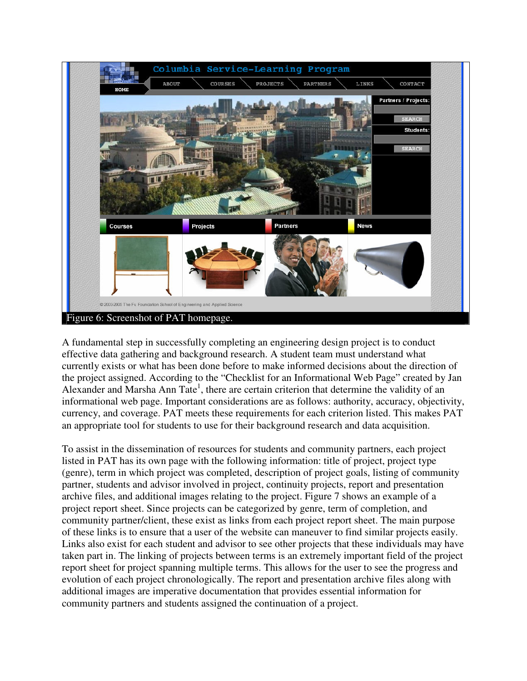

A fundamental step in successfully completing an engineering design project is to conduct effective data gathering and background research. A student team must understand what currently exists or what has been done before to make informed decisions about the direction of the project assigned. According to the "Checklist for an Informational Web Page" created by Jan Alexander and Marsha Ann Tate<sup>1</sup>, there are certain criterion that determine the validity of an informational web page. Important considerations are as follows: authority, accuracy, objectivity, currency, and coverage. PAT meets these requirements for each criterion listed. This makes PAT an appropriate tool for students to use for their background research and data acquisition.

To assist in the dissemination of resources for students and community partners, each project listed in PAT has its own page with the following information: title of project, project type (genre), term in which project was completed, description of project goals, listing of community partner, students and advisor involved in project, continuity projects, report and presentation archive files, and additional images relating to the project. Figure 7 shows an example of a project report sheet. Since projects can be categorized by genre, term of completion, and community partner/client, these exist as links from each project report sheet. The main purpose of these links is to ensure that a user of the website can maneuver to find similar projects easily. Links also exist for each student and advisor to see other projects that these individuals may have taken part in. The linking of projects between terms is an extremely important field of the project report sheet for project spanning multiple terms. This allows for the user to see the progress and evolution of each project chronologically. The report and presentation archive files along with additional images are imperative documentation that provides essential information for community partners and students assigned the continuation of a project.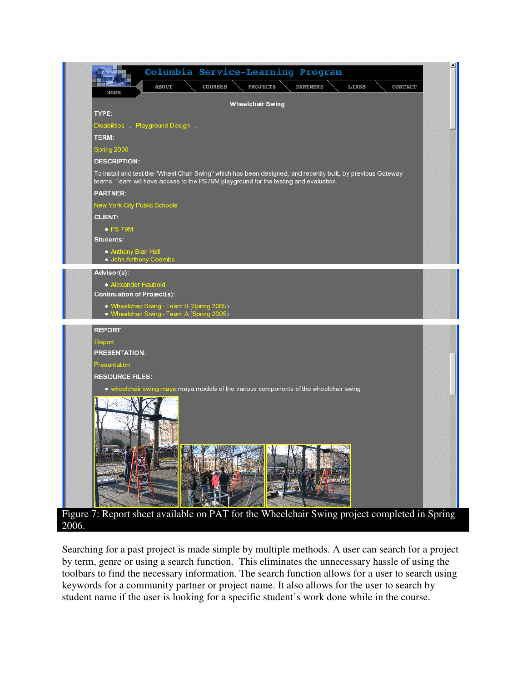

Searching for a past project is made simple by multiple methods. A user can search for a project by term, genre or using a search function. This eliminates the unnecessary hassle of using the toolbars to find the necessary information. The search function allows for a user to search using keywords for a community partner or project name. It also allows for the user to search by student name if the user is looking for a specific student's work done while in the course.